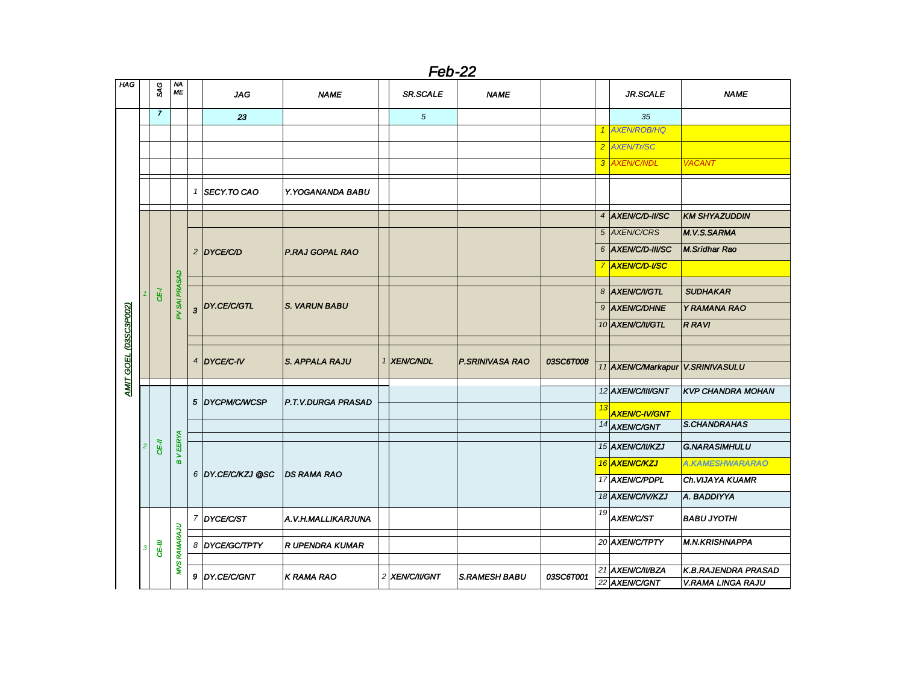